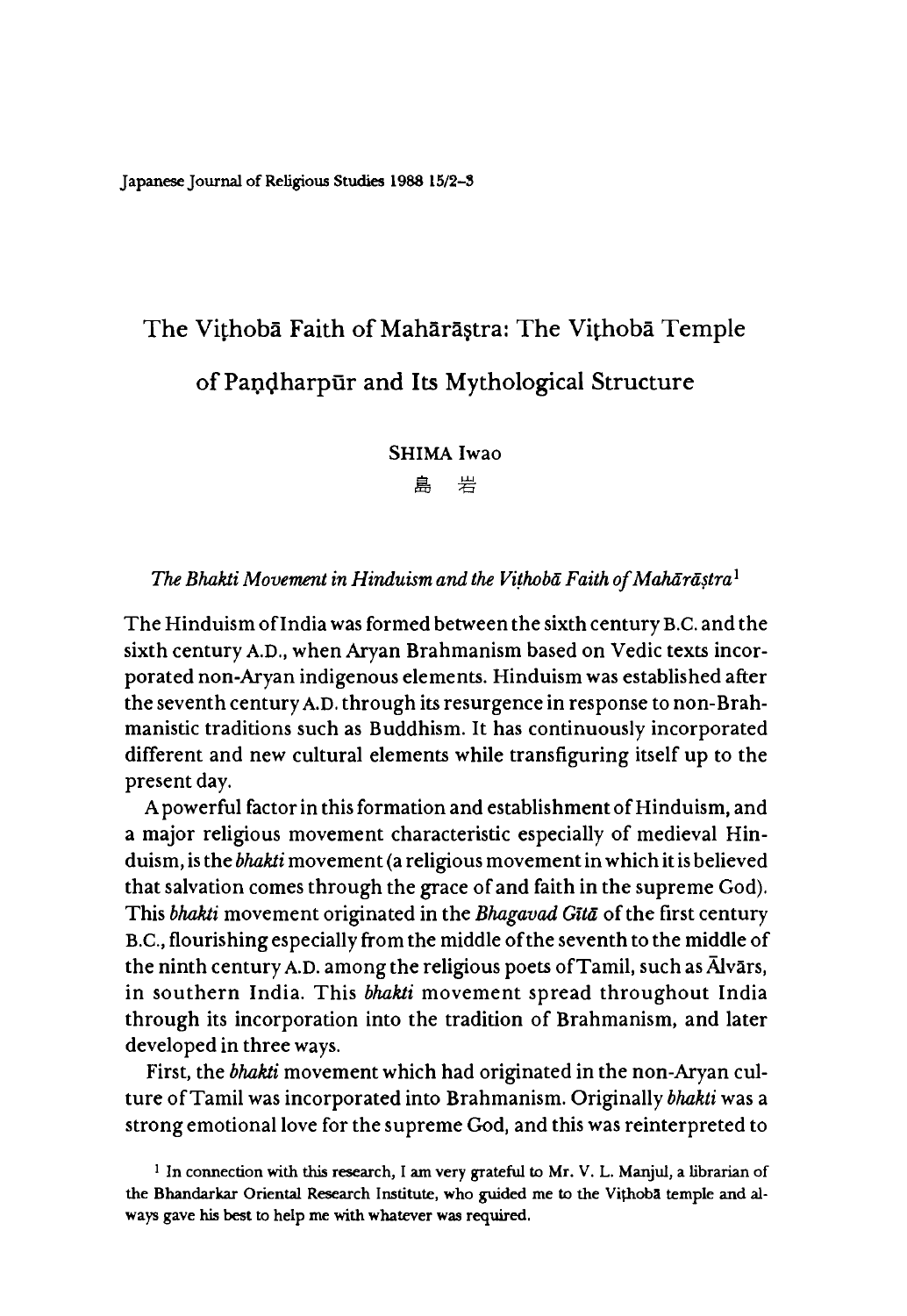Japanese Journal of Religious Studies 19S8 15/2-3

# **The Vithoba Faith of Mahara§tra: The Vithoba Temple** of Pandharpur and Its Mythological Structure

SHIMA Iwao

島 岩

#### *The Bhakti Movement in Hinduism and the Vithoba Faith of Maharastra*<sup>1</sup>

The Hinduism of India was formed between the sixth century B.C. and the sixth century A.D., when Aryan Brahmanism based on Vedic texts incorporated non-Aryan indigenous elements. Hinduism was established after the seventh century A.D. through its resurgence in response to non-Brahmanistic traditions such as Buddhism. It has continuously incorporated different and new cultural elements while transfiguring itself up to the present day.

A powerful factor in this formation and establishment of Hinduism, and a major religious movement characteristic especially of medieval Hinduism, is the *bhakti* movement (a religious movement in which it is believed that salvation comes through the grace of and faith in the supreme God). This *bhakti* movement originated in the *Bhagavad GUd* of the first century B.C., flourishing especially from the middle of the seventh to the middle of the ninth century A.D. among the religious poets of Tamil, such as Alvars, in southern India. This *bhakti* movement spread throughout India through its incorporation into the tradition of Brahmanism, and later developed in three ways.

First, the *bhakti* movement which had originated in the non-Aryan culture of Tamil was incorporated into Brahmanism. Originally *bhakti* was a strong emotional love for the supreme God, and this was reinterpreted to

 $1$  In connection with this research, I am very grateful to Mr. V. L. Manjul, a librarian of the Bhandarkar Oriental Research Institute, who guided me to the Vithoba temple and always gave his best to help me with whatever was required.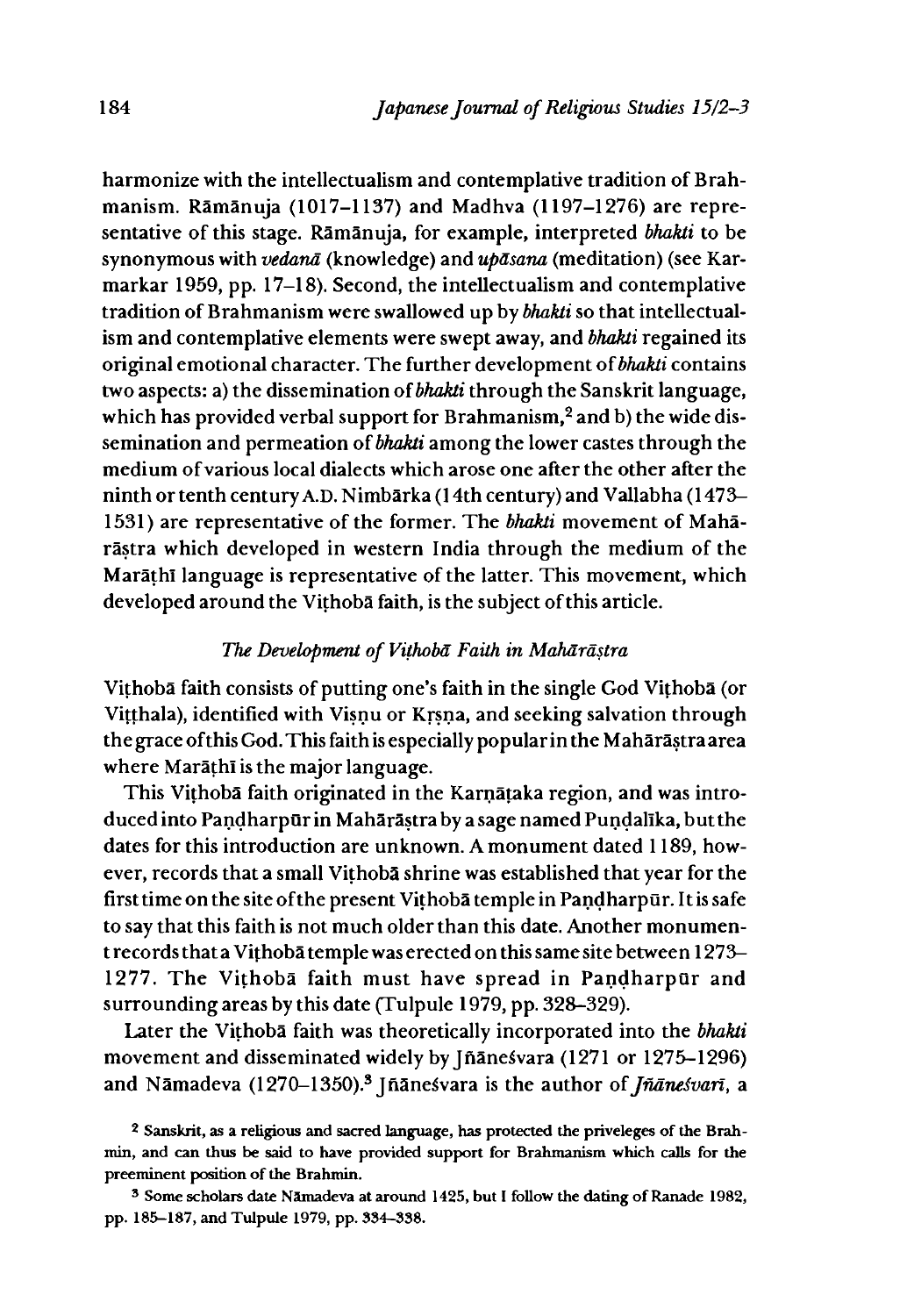harmonize with the intellectualism and contemplative tradition of Brahmanism. Ramanuja (1017-1137) and Madhva (1197-1276) are representative of this stage. Ramanuja, for example, interpreted *bhakti* to be synonymous with *vedana* (knowledge) and *updsana* (meditation) (see Karmarkar 1959, pp. 17-18). Second, the intellectualism and contemplative tradition of Brahmanism were swallowed up by *bhakti* so that intellectualism and contemplative elements were swept away, and *bhakti* regained its original emotional character. The further development of *bhakti* contains two aspects: a) the dissemination of *bhakti* through the Sanskrit language, which has provided verbal support for Brahmanism,<sup>2</sup> and b) the wide dissemination and permeation of *bhakti* among the lower castes through the medium of various local dialects which arose one after the other after the ninth or tenth century A.D. Nimbarka (14th century) and Vallabha (1473 1531) are representative of the former. The *bhakti* movement of Maharastra which developed in western India through the medium of the Marathi language is representative of the latter. This movement, which developed around the Vithoba faith, is the subject of this article.

# *The Development of Vithoba Faith in Mahdrastra*

Vithoba faith consists of putting one's faith in the single God Vithoba (or Vitthala), identified with Visnu or Krsna, and seeking salvation through the grace of this God. This faith is especially popular in the Maharastraarea where Marathi is the major language.

This Vithoba faith originated in the Karnataka region, and was introduced into Pandharpūr in Mahārāstraby a sage named Pundalīka, but the dates for this introduction are unknown. A monument dated 1189, however, records that a small Vithoba shrine was established that year for the first time on the site of the present Vithoba temple in Pandharpur. It is safe to say that this faith is not much older than this date. Another monument records that a Vithoba temple was erected on this same site between 1273-1277. The Vithoba faith must have spread in Pandharpur and surrounding areas by this date (Tulpule 1979, pp. 328-329).

Later the Vithoba faith was theoretically incorporated into the *bhakti* movement and disseminated widely by Jñānesvara (1271 or 1275-1296) and Nāmadeva (1270-1350).<sup>3</sup> Jñāneśvara is the author of *Jñāneśvarī*, a

<sup>2</sup> Sanskrit, as a religious and sacred language, has protected the priveleges of the Brahmin, and can thus be said to have provided support for Brahmanism which calls for the preeminent position of the Brahmin.

<sup>3</sup> Some scholars date Namadeva at around 1425, but I follow the dating of Ranade 1982, pp. 185-187, and Tulpule 1979, pp. 334—338.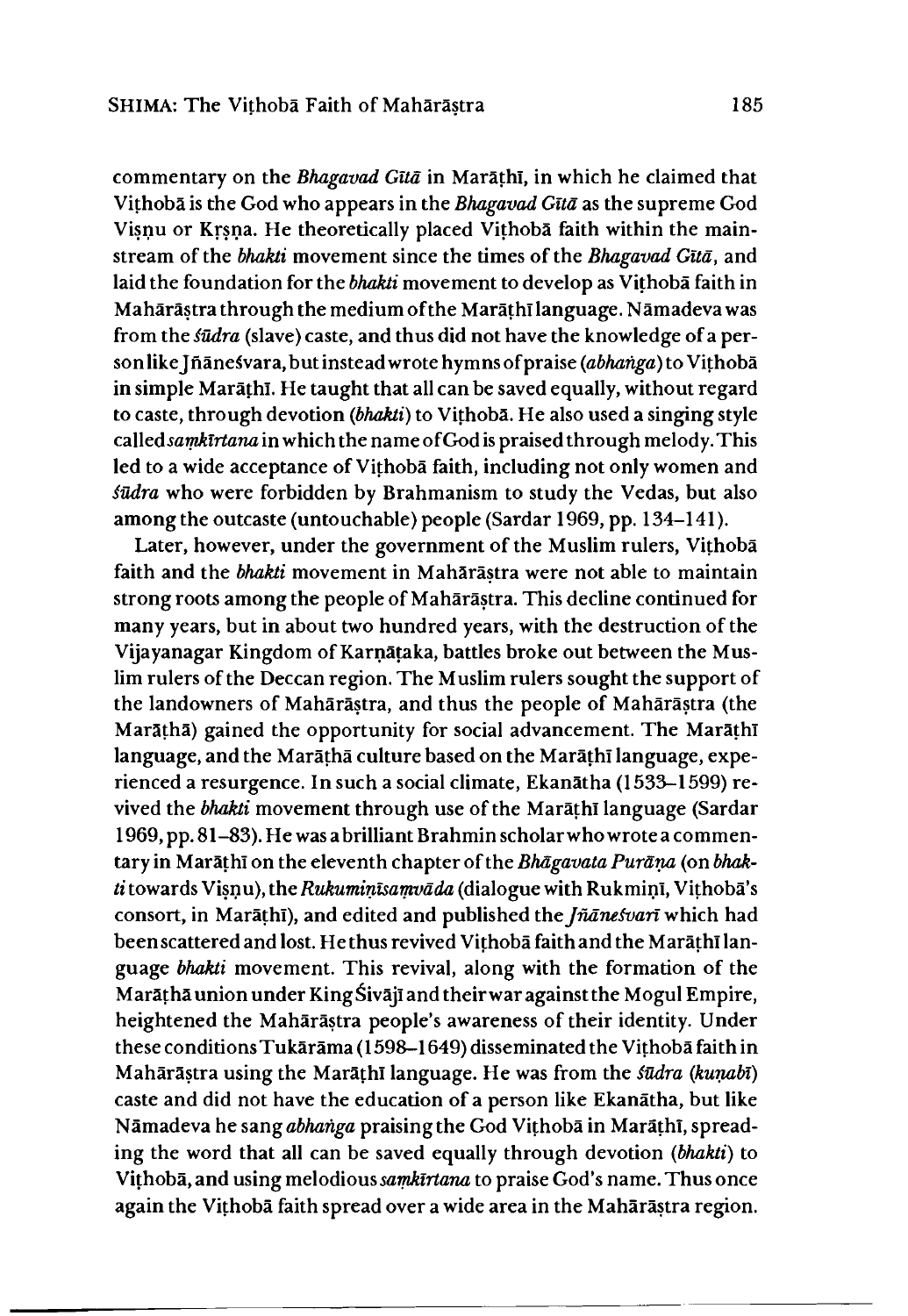commentary on the *Bhagavad Gita* in Marathi, in which he claimed that Vithoba is the God who appears in the *Bhagavad Gita* as the supreme God Visnu or Krsna. He theoretically placed Vithoba faith within the mainstream of the *bhakti* movement since the times of the *Bhagavad Gitd,* and laid the foundation for the *bhakti* movement to develop as Vithoba faith in Maharastra through the medium of the Marathi language. Namadeva was from the *iudra* (slave) caste, and thus did not have the knowledge of a personlike Jñāneśvara, but instead wrote hymns of praise *(abhanga)* to Vithobā in simple Marathi. He taught that all can be saved equally, without regard to caste, through devotion *(bhakti)* to Vithoba. He also used a singing style *csdledsamkirtana* in which the name of God is praised through melody. This led to a wide acceptance of Vithoba faith, including not only women and *fūdra* who were forbidden by Brahmanism to study the Vedas, but also among the outcaste (untouchable) people (Sardar 1969, pp. 134-141).

Later, however, under the government of the Muslim rulers, Vithoba faith and the *bhakti* movement in Maharastra were not able to maintain strong roots among the people of Maharastra. This decline continued for many years, but in about two hundred years, with the destruction of the Vijayanagar Kingdom of Karnataka, battles broke out between the Muslim rulers of the Deccan region. The Muslim rulers sought the support of the landowners of Maharastra, and thus the people of Maharastra (the Marāṭhā) gained the opportunity for social advancement. The Marāṭhī language, and the Maratha culture based on the Marathi language, experienced a resurgence. In such a social climate, Ekanatha (1533-1599) revived the *bhakti* movement through use of the Marathi language (Sardar 1969, pp. 81-83). He was abrilliant Brahmin scholarwhowrotea commentary in Marathi on the eleventh chapter of the *Bhagavata Purana* (on *bhakti* towards Visnu), the *Rukuminisamvāda* (dialogue with Rukmini, Vithobā's consort, in Marathi), and edited and published the *Jnaneivan* which had been scattered and lost. He thus revived Vithoba faith and the Marathi language *bhakti* movement. This revival, along with the formation of the Marāthā union under King Śivājī and their war against the Mogul Empire, heightened the Mahārāstra people's awareness of their identity. Under these conditions Tukārāma (1598-1649) disseminated the Vithobā faith in Maharastra using the Marathi language. He was from the *iudra Qiunabi)* caste and did not have the education of a person like Ekanatha, but like Nāmadeva he sang *abhanga* praising the God Vithobā in Marāthī, spreading the word that all can be saved equally through devotion *(bhakti)* to Vithoba, and using melodious *sarnklrtana* to praise God's name. Thus once again the Vithoba faith spread over a wide area in the Maharastra region.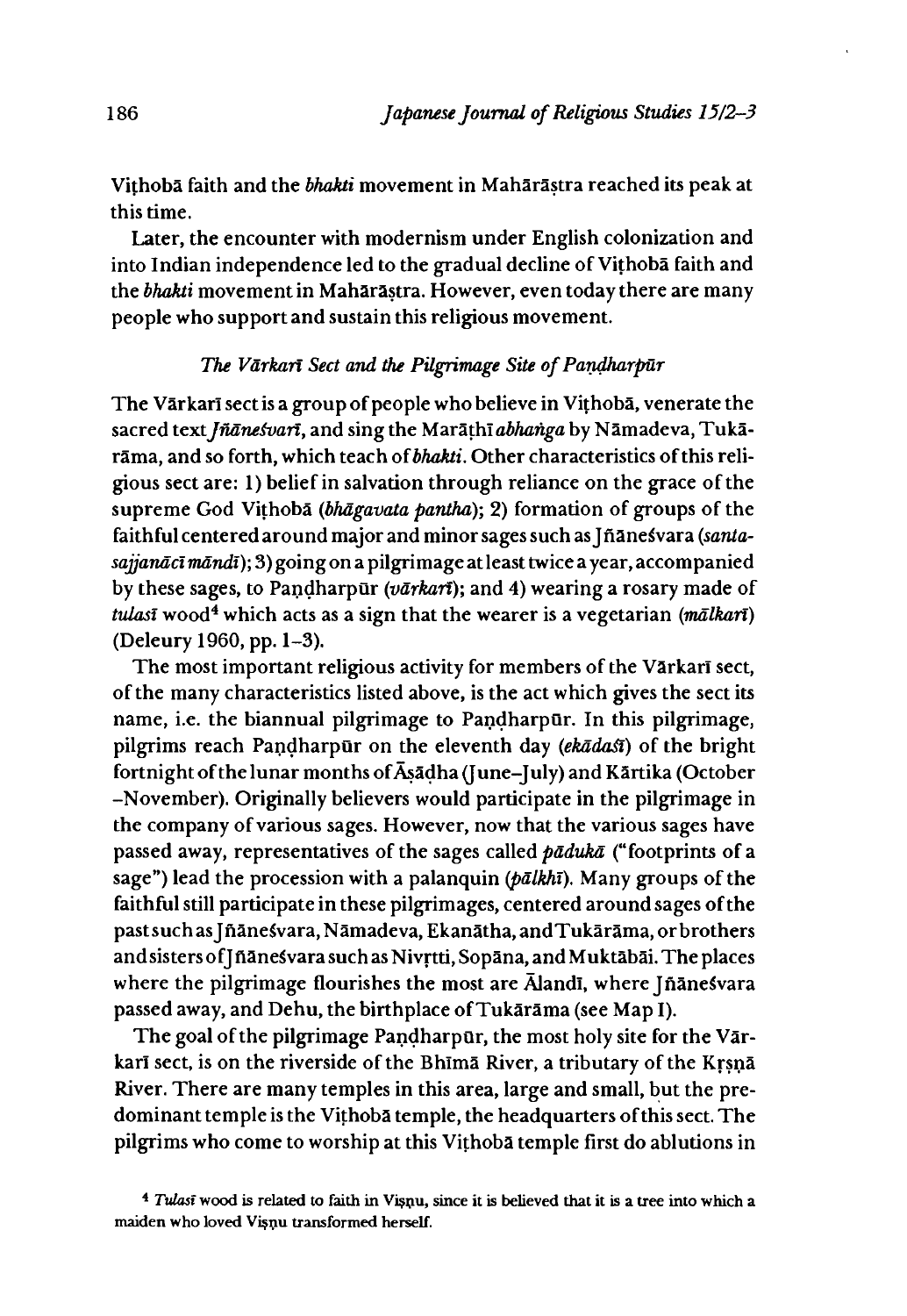Vithoba faith and the *bhakti* movement in Maharastra reached its peak at this time.

Later, the encounter with modernism under English colonization and into Indian independence led to the gradual decline of Vithoba faith and the *bhakti* movement in Maharastra. However, even today there are many people who support and sustain this religious movement.

# The Vārkarī Sect and the Pilgrimage Site of Pandharpūr

The Vārkarī sect is a group of people who believe in Vithobā, venerate the sacred text *Jñāneśvari*, and sing the Marāthī abhanga by Nāmadeva, Tukārama, and so forth, which teach of *bhakti.* Other characteristics of this religious sect are:1)belief in salvation through reliance on the grace of the supreme God Vithoba *(bhagavata pardha); 2)* formation of groups of the faithful centered around major and minor sages such as Jñānesvara *(santasajjandct mdndt);* 3) going on a pilgrimage at least twice a year, accompanied by these sages, to Pandharpur *(vdrkari);* and 4) wearing a rosary made of *tulasi* wood4 which acts as a sign that the wearer is a vegetarian *(mdlkan)* (Deleury 1960, pp. 1-3).

The most important religious activity for members of the Vārkarī sect, of the many characteristics listed above, is the act which gives the sect its name, i.e. the biannual pilgrimage to Pandharpur. In this pilgrimage, pilgrims reach Pandharpur on the eleventh day *(ekadast)* of the bright fortnight of the lunar months of Asadha (} une-J uly) and Kartika (October -November). Originally believers would participate in the pilgrimage in the company of various sages. However, now that the various sages have passed away, representatives of the sages called *padvka* ("footprints of a sage") lead the procession with a palanquin *(pālkhī)*. Many groups of the faithful still participate in these pilgrimages, centered around sages of the past such as Jñāne svara, Nāmadeva, Ekanātha, and Tukārāma, or brothers and sisters of Jñanesvara such as Nivrtti, Sopana, and Muktabai. The places where the pilgrimage flourishes the most are  $\bar{A}$ landi, where Jñānesvara passed away, and Dehu, the birthplace of Tukarama (see Map I).

The goal of the pilgrimage Pandharpūr, the most holy site for the Vārkarī sect, is on the riverside of the Bhīmā River, a tributary of the Krsnā River. There are many temples in this area, large and small, but the predominant temple is the Vithoba temple, the headquarters of this sect. The pilgrims who come to worship at this Vithoba temple first do ablutions in

<sup>&</sup>lt;sup>4</sup> *Tulast* wood is related to faith in Visnu, since it is believed that it is a tree into which a maiden who loved Visnu transformed herself.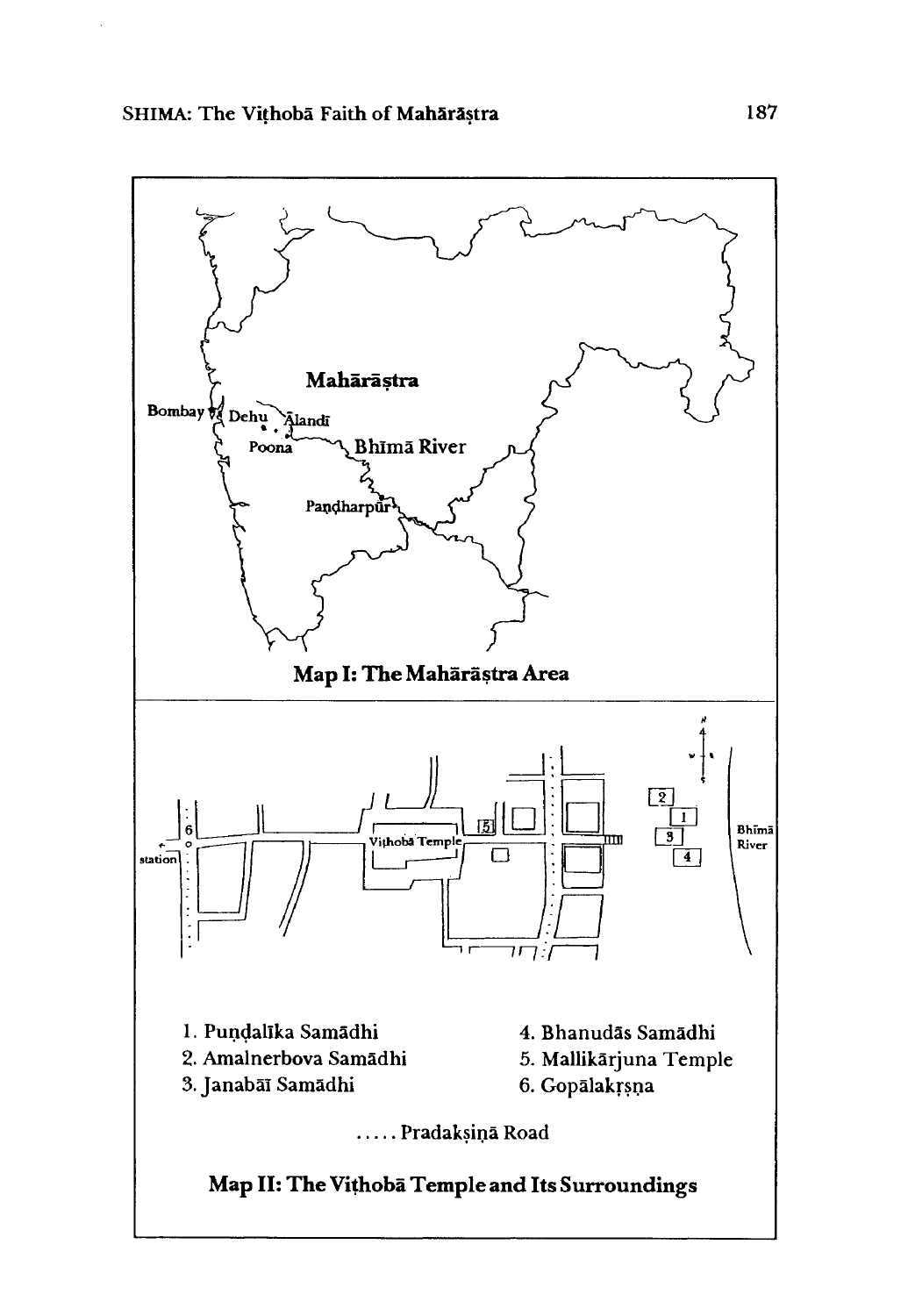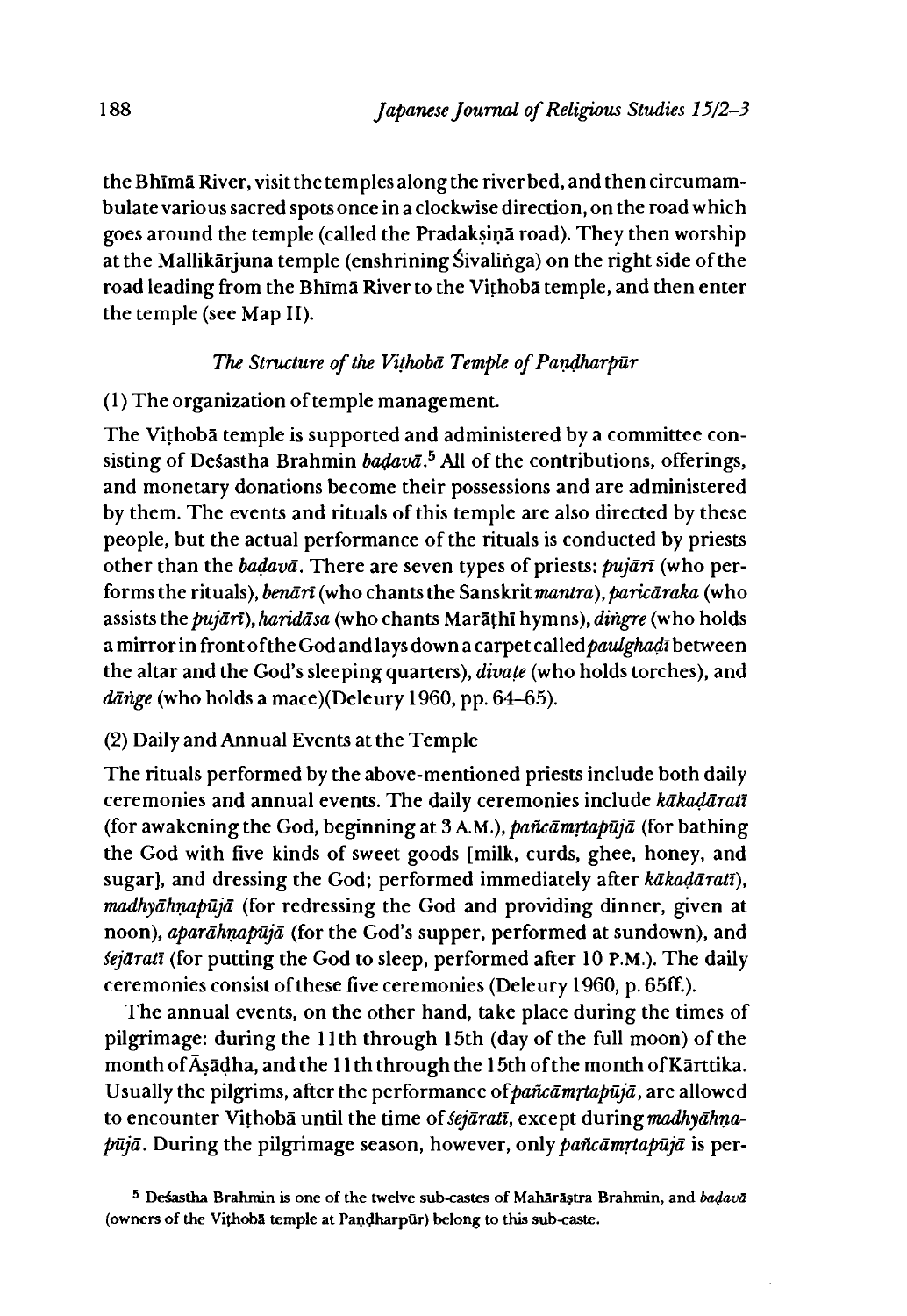the Bhlma River, visit the temples along the riverbed, and then circumambulate various sacred spots once in a clockwise direction, on the road which goes around the temple (called the Pradaksina road). They then worship at the Mallikarjuna temple (enshrining Sivalinga) on the right side of the road leading from the Bhima River to the Vithoba temple, and then enter the temple (see Map II).

# *The Structure of the Vithoba Temple of Pandharpur*

# (1)The organization of temple management

The Vithoba temple is supported and administered by a committee consisting of Desastha Brahmin *badavā*.<sup>5</sup> All of the contributions, offerings, and monetary donations become their possessions and are administered by them. The events and rituals of this temple are also directed by these people, but the actual performance of the rituals is conducted by priests other than the *badava.* There are seven types of priests: *pujdn* (who performs the rituals), *benārī* (who chants the Sanskrit *mantra*), *paricāraka* (who assists the *pujārī*), *haridāsa* (who chants Marāthī hymns), *dingre* (who holds a mirror in front of the God and lays down a carpet called *paulghadī* between the altar and the God's sleeping quarters), *divate* (who holds torches), and dānge (who holds a mace)(Deleury 1960, pp. 64–65).

# (2) Daily and Annual Events at the Temple

The rituals performed by the above-mentioned priests include both daily ceremonies and annual events. The daily ceremonies include *kakadarati* (for awakening the God, beginning at 3 A.M.), *pañcāmrtapūjā* (for bathing the God with five kinds of sweet goods [milk, curds, ghee, honey, and sugar], and dressing the God; performed immediately after *kakadarati), Tnadhyahruipujd* (for redressing the God and providing dinner, given at noon), *apardhnapujd* (for the God's supper, performed at sundown), and *kjarati* (for putting the God to sleep, performed after 10 P.M.). The daily ceremonies consist of these five ceremonies (Deleury 1960, p. 65fF.).

The annual events, on the other hand, take place during the times of pilgrimage: during the 11th through 15th (day of the full moon) of the month of Asadha, and the 11th through the 15th of the month ofKarttika. Usually the pilgrims, after the performance of*pafkamrtapuja*, are allowed to encounter Vithoba until the time of *sejarati*, except during *madhyahnapuja.* During the pilgrimage season, however, only *pafkamrtapuja* is per-

<sup>5</sup> Desastha Brahmin is one of the twelve sub-castes of Maharastra Brahmin, and *badava* (owners of the Vithoba temple at Pandharpur) belong to this sub-caste.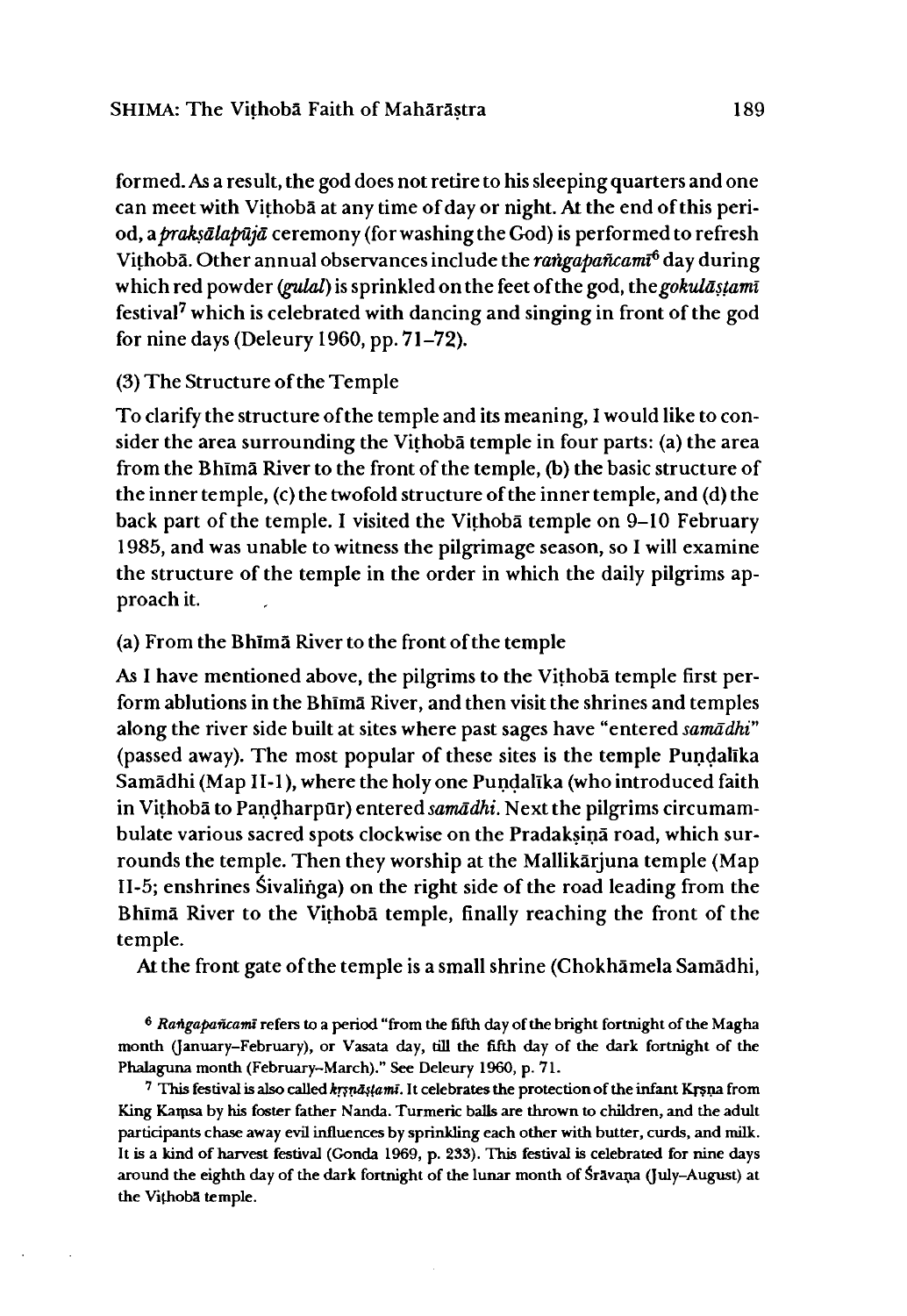formed. As a result, the god does not retire to his sleeping quarters and one can meet with Vithoba at any time of day or night. At the end of this period, *dipraksdlapujd* ceremony (for washing the God) is performed to refresh Vithoba. Other annual observances include the *rangapaflcamt6* day during which red powder (*gulal*) is sprinkled on the feet of the god, the *gokulā stami* festival7 which is celebrated with dancing and singing in front of the god for nine days (Deleury 1960, pp. 71-72).

#### (3) The Structure of the Temple

To clarify the structure of the temple and its meaning, I would like to consider the area surrounding the Vithoba temple in four parts: (a) the area from the Bhlma River to the front of the temple, (b) the basic structure of the inner temple, (c) the twofold structure of the inner temple, and (d) the back part of the temple. I visited the Vithoba temple on 9-10 February 1985, and was unable to witness the pilgrimage season, so I will examine the structure of the temple in the order in which the daily pilgrims approach it.

#### (a) From the Bhlma River to the front of the temple

As I have mentioned above, the pilgrims to the Vithoba temple first perform ablutions in the Bhima River, and then visit the shrines and temples along the river side built at sites where past sages have "entered *samādhi*" (passed away). The most popular of these sites is the temple Pundallka Samādhi (Map II-1), where the holy one Pundalīka (who introduced faith in Vithobā to Pandharpūr) entered *samādhi*. Next the pilgrims circumambulate various sacred spots clockwise on the Pradaksina road, which surrounds the temple. Then they worship at the Mallikarjuna temple (Map  $II-5$ ; enshrines Sivalinga) on the right side of the road leading from the Bhlma River to the Vithoba temple, finally reaching the front of the temple.

At the front gate of the temple is a small shrine (Chokhamela Samadhi,

<sup>6</sup> Rangapancami refers to a period "from the fifth day of the bright fortnight of the Magha month (January-February), or Vasata day, till the fifth day of the dark fortnight of the Phalaguna month (February-March)." See Deleury 1960, p. 71.

 $7$  This festival is also called  $k$ rsnastama. It celebrates the protection of the infant Krsna from King Kamsa by his foster father Nanda. Turmeric balls are thrown to children, and the adult participants chase away evil influences by sprinkling each other with butter, curds, and milk. It is a kind of harvest festival (Gonda 1969, p. 233). This festival is celebrated for nine days around the eighth day of the dark fortnight of the lunar month of Sravana (July-August) at the Vithoba temple.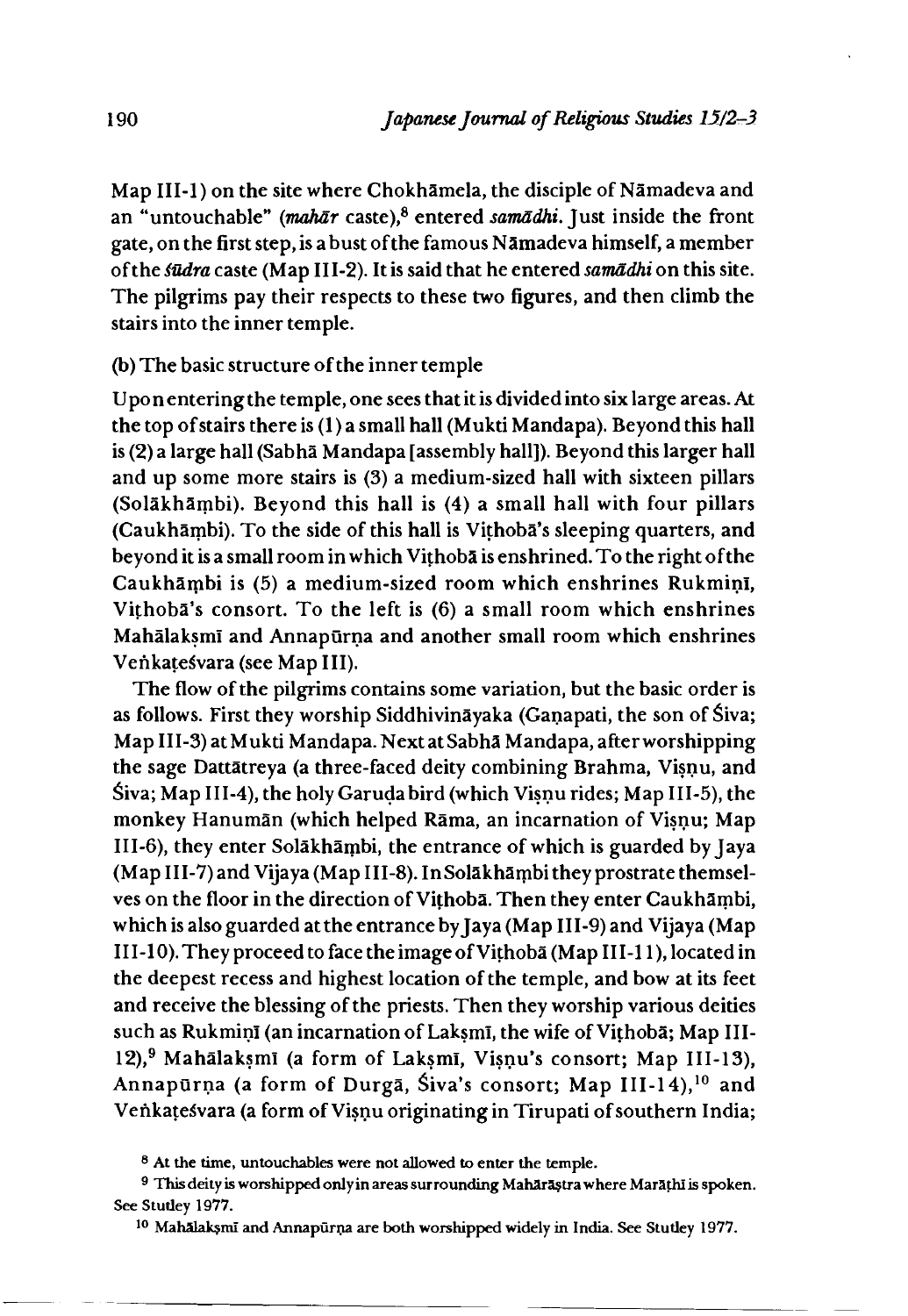Map III-1) on the site where Chokhamela, the disciple of Namadeva and an "untouchable" *(mahār* caste),<sup>8</sup> entered *samādhi*. Just inside the front gate, on the first step, is a bust of the famous Namadeva himself, a member of the *iudra* caste (Map 111-2). It is said that he entered *samadhi* on this site. The pilgrims pay their respects to these two figures, and then climb the stairs into the inner temple.

#### (b) The basic structure of the inner temple

Upon entering the temple, one sees that it is divided into six large areas. At the top of stairs there is(l)a small hall (Mukti Mandapa). Beyond this hall is (2) a large hall (Sabha Mandapa [assembly hall]). Beyond this larger hall and up some more stairs is (3) a medium-sized hall with sixteen pillars (Solakhambi). Beyond this hall is (4) a small hall with four pillars (Caukhambi). To the side of this hall is Vithoba's sleeping quarters, and beyond it is a small room in which Vithoba is enshrined. To the right of the Caukhambi is (5) a medium-sized room which enshrines RukminI, Vithoba's consort. To the left is (6) a small room which enshrines Mahālakṣmī and Annapūrṇa and another small room which enshrines Venkatesvara (see Map III).

The flow of the pilgrims contains some variation, but the basic order is as follows. First they worship Siddhivinayaka (Ganapati, the son of Siva; MapIII-3) at Mukti Mandapa. Next at Sabha Mandapa, after worshipping the sage Dattatreya (a three-faced deity combining Brahma, Visnu, and Siva; Map III-4), the holy Garuda bird (which Visnu rides; Map III-5), the monkey Hanuman (which helped Rama, an incarnation of Visnu; Map III-6), they enter Solākhāmbi, the entrance of which is guarded by Jaya (Map III-7) and Vijaya(Map III-8). InSolakhambi they prostrate themselves on the floor in the direction of Vithoba. Then they enter Caukhambi, which is also guarded at the entrance by Jaya (Map III-9) and Vijaya (Map III-10). They proceed to face the image of Vithoba (Map III-11), located in the deepest recess and highest location of the temple, and bow at its feet and receive the blessing of the priests. Then they worship various deities such as Rukmiņī (an incarnation of Laksmī, the wife of Vithobā; Map III-12),<sup>9</sup> Mahālaksmī (a form of Laksmī, Visņu's consort; Map III-13), Annapūrņa (a form of Durgā, Śiva's consort; Map III-14),<sup>10</sup> and Venkatesvara (a form of Visnu originating in Tirupati of southern India;

<sup>8</sup> At the time, untouchables were not allowed to enter the temple.

<sup>9</sup> This deity is worshipped only in areas surrounding Mahārāştra where Marāthī is spoken. See Stutley 1977.

<sup>10</sup> Mahalaksml and Annapurna are both worshipped widely in India. See Stutley 1977.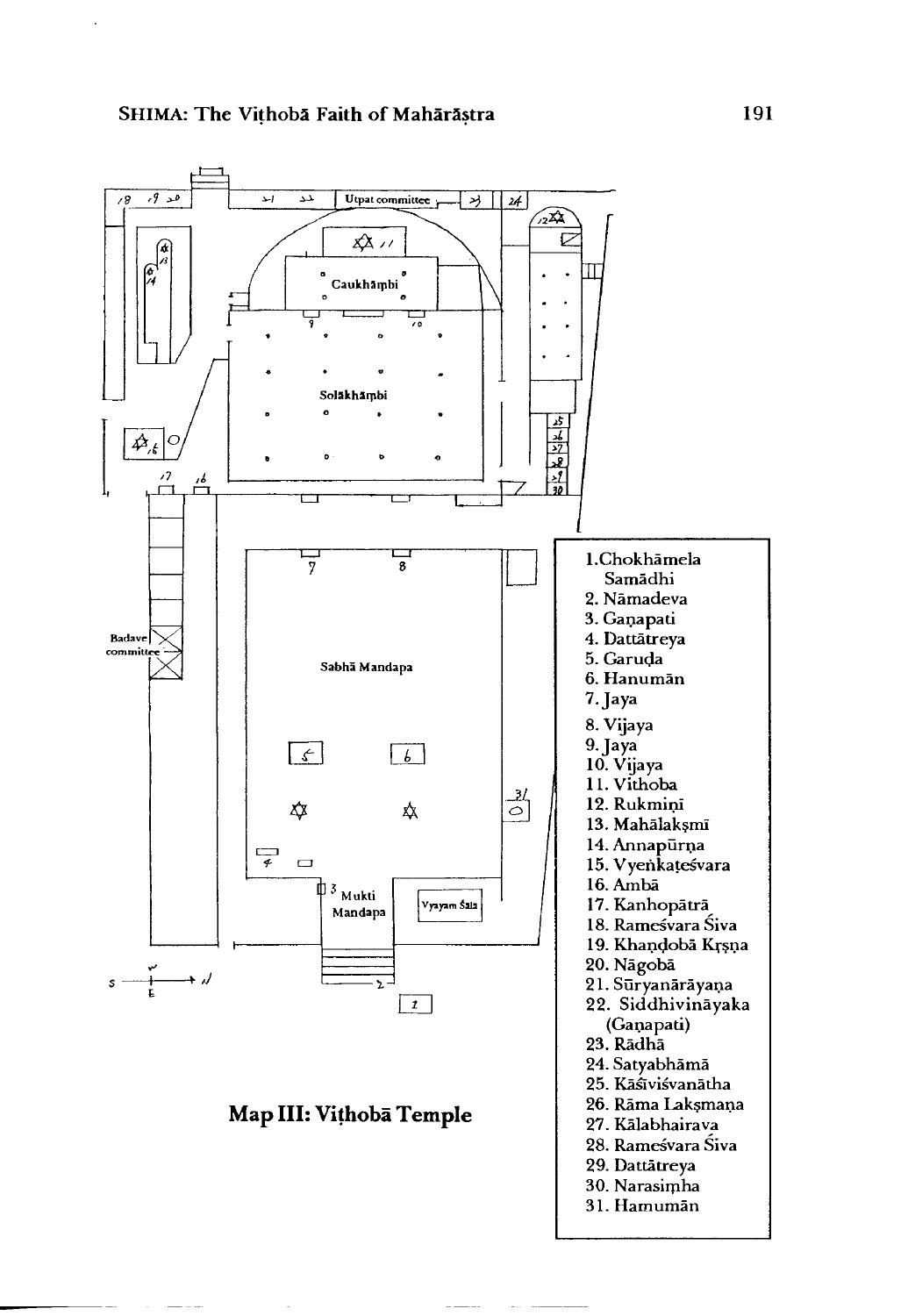![](_page_8_Figure_1.jpeg)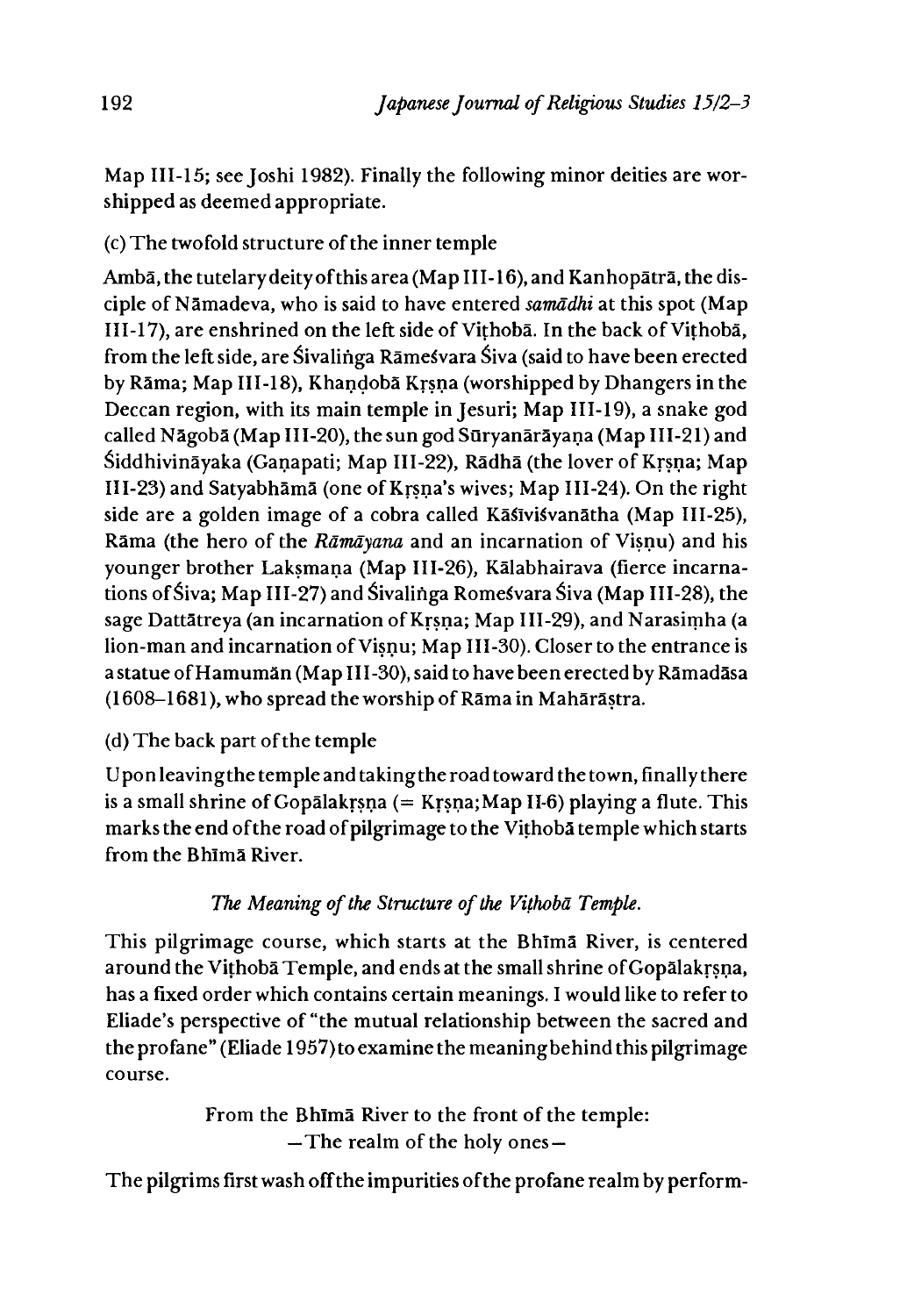Map 111-15; see Joshi 1982). Finally the following minor deities are worshipped as deemed appropriate.

(c) The twofold structure of the inner temple

Ambā, the tutelary deity of this area (Map III-16), and Kanhopātrā, the disciple of Namadeva, who is said to have entered *samadhi* at this spot (Map 111-17), are enshrined on the left side of Vithoba. In the back of Vithoba, from the left side, are Sivalinga Rāmesvara Siva (said to have been erected by Rama; Map 111-18),Khandoba Krsna (worshipped by Dhangers in the Deccan region, with its main temple in Jesuri; Map 111-19), a snake god called Nāgobā (Map III-20), the sun god Sūryanārāyaṇa (Map III-21) and Siddhivināyaka (Gaṇapati; Map III-22), Rādhā (the lover of Kṛṣṇa; Map 111-23) and Satyabhama (one of Krsna\*s wives; Map 111-24). On the right side are a golden image of a cobra called Kāsīvisvanātha (Map III-25), Rama (the hero of the *Ramayana* and an incarnation of Visnu) and his younger brother Laksmana (Map III-26), Kālabhairava (fierce incarnations of Siva; Map 111-27) and ^ivalinga Rome vara Siva (Map 111-28), the sage Dattātreya (an incarnation of Krsna; Map III-29), and Narasimha (a lion-man and incarnation of Visnu; Map III-30). Closer to the entrance is a statue of Hamumān (Map III-30), said to have been erected by Rāmadāsa (1608-1681), who spread the worship of Rama in Maharastra.

# (d) The back part of the temple

Upon leaving the temple and taking the road toward the town, finally there is a small shrine of Gopalakrsna (= Krsna;Map 11-6) playing a flute. This marks the end of the road of pilgrimage to the Vithoba temple which starts from the Bhlma River.

# *The Meaning of the Structure of the Vithoba Temple.*

This pilgrimage course, which starts at the Bhlma River, is centered around the Vithoba Temple, and ends at the small shrine of Gopalakrsna, has a fixed order which contains certain meanings. I would like to refer to Eliade's perspective of "the mutual relationship between the sacred and the profane" (Eliade 1957) to examine the meaningbehind this pilgrimage course.

> From the Bhlma River to the front of the temple: —The realm of the holy ones —

The pilgrims first wash off the impurities of the profane realm by perform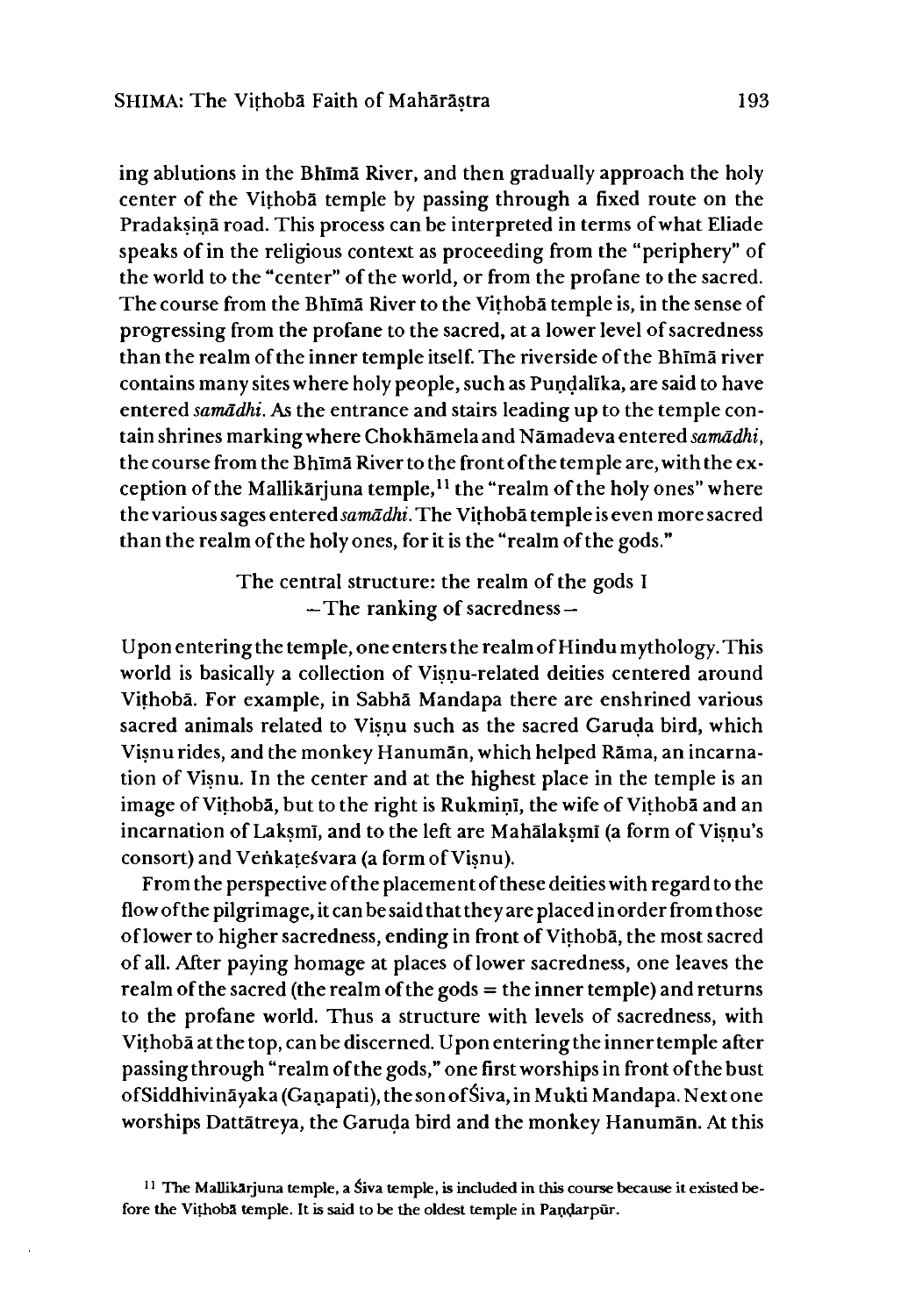ing ablutions in the Bhlma River, and then gradually approach the holy center of the Vithoba temple by passing through a fixed route on the Pradaksina road. This process can be interpreted in terms of what Eliade speaks of in the religious context as proceeding from the "periphery" of the world to the "center" of the world, or from the profane to the sacred. The course from the Bhima River to the Vithoba temple is, in the sense of progressing from the profane to the sacred, at a lower level of sacredness than the realm of the inner temple itself. The riverside of the Bhlma river contains many sites where holy people, such as Pundalika, are said to have entered *samadhi.* As the entrance and stairs leading up to the temple contain shrines marking where Chokhamela and Namadeva entered *samadhi,* the course from the Bhima River to the front of the temple are, with the exception of the Mallikarjuna temple,<sup>11</sup> the "realm of the holy ones" where the various sages entered *samadhi.* The Vithoba temple is even more sacred than the realm of the holy ones, for it is the "realm of the gods."

> The central structure: the realm of the gods I —The ranking of sacredness —

U pon entering the temple, one enters the realm of Hindu mythology. This world is basically a collection of Visnu-related deities centered around Vithoba. For example, in Sabha Mandapa there are enshrined various sacred animals related to Visnu such as the sacred Garuda bird, which Visnu rides, and the monkey Hanuman, which helped Rama, an incarnation of Visnu. In the center and at the highest place in the temple is an image of Vithoba, but to the right is Rukmini, the wife of Vithoba and an incarnation of Laksmi, and to the left are Mahalaksmi (a form of Visnu's consort) and Venkate^vara (a form ofVisnu).

From the perspective of the placement of these deities with regard to the flow of the pilgrimage, it can be said that they are placed in order from those of lower to higher sacredness, ending in front of Vithoba, the most sacred of all. After paying homage at places of lower sacredness, one leaves the realm of the sacred (the realm of the gods = the inner temple) and returns to the profane world. Thus a structure with levels of sacredness, with Vithobā at the top, can be discerned. U pon entering the inner temple after passing through "realm of the gods," one first worships in front of the bust of Siddhivinayaka (Ganapati), the son of Siva, in Mukti Mandapa. Next one worships Dattatreya, the Garuda bird and the monkey Hanuman. At this

 $11$  The Mallikarjuna temple, a Siva temple, is included in this course because it existed before the Vithoba temple. It is said to be the oldest temple in Pandarpur.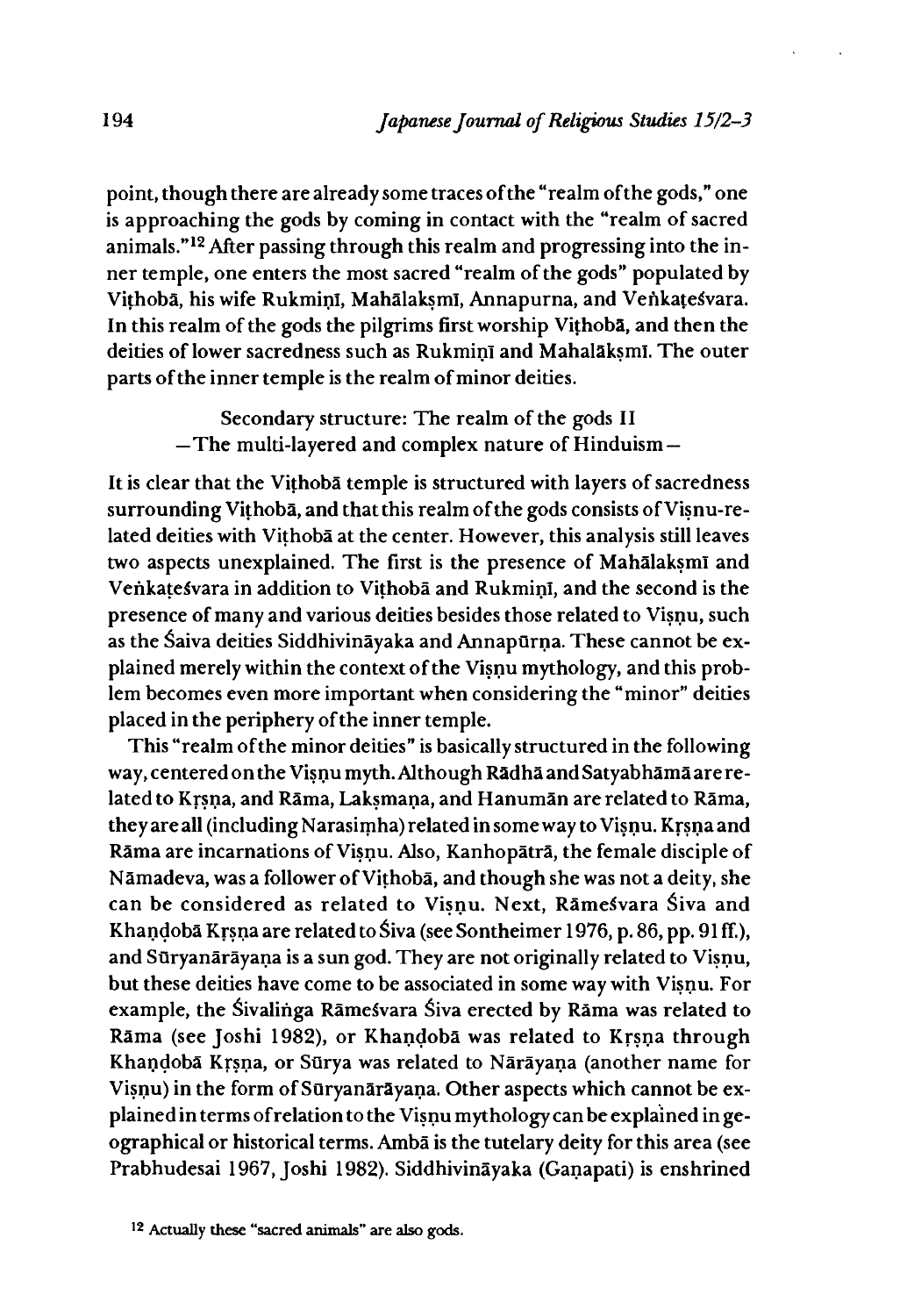point, though there are already some traces of the "realm of the gods," one is approaching the gods by coming in contact with the "realm of sacred animals."12 After passing through this realm and progressing into the inner temple, one enters the most sacred "realm of the gods" populated by Vithobā, his wife Rukminī, Mahālakṣmī, Annapurna, and Venkaṭeśvara. In this realm of the gods the pilgrims first worship Vithoba, and then the deities of lower sacredness such as Rukmini and Mahalaksmi. The outer parts of the inner temple is the realm of minor deities.

> Secondary structure: The realm of the gods II —The multi-layered and complex nature of Hinduism —

It is clear that the Vithoba temple is structured with layers of sacredness surrounding Vithoba, and that this realm of the gods consists of Visnu-related deities with Vithoba at the center. However, this analysis still leaves two aspects unexplained. The first is the presence of Mahalaksmi and Venkatesvara in addition to Vithoba and Rukmini, and the second is the presence of many and various deities besides those related to Visnu, such as the Śaiva deities Siddhivināyaka and Annapūrna. These cannot be explained merely within the context of the Visnu mythology, and this problem becomes even more important when considering the "minor" deities placed in the periphery of the inner temple.

This "realm of the minor deities" is basically structured in the following way,centered on the Visnu myth. Although Radha and Satyabhama are related to Krsna, and Rama, Laksmana, and Hanuman are related to Rama, they are all (including Narasimha) related in some way to Visnu. Krsna and Rama are incarnations ofVisnu. Also, Kanhopatra, the female disciple of Nāmadeva, was a follower of Vithobā, and though she was not a deity, she can be considered as related to Visnu. Next, Ramesvara Siva and Khandobā Krsna are related to Śiva (see Sontheimer 1976, p. 86, pp. 91ff.), and Sūryanārāyaṇa is a sun god. They are not originally related to Visnu, but these deities have come to be associated in some way with Visnu. For example, the Śivalinga Rāmesvara Śiva erected by Rāma was related to Rama (see Joshi 1982), or Khandoba was related to Krsna through Khandoba Krsna, or Surya was related to Narayana (another name for Visnu) in the form of Sūryanārāyaṇa. Other aspects which cannot be explained in terms of relation to the Visnu mythology can be explained in geographical or historical terms. Amba is the tutelary deity for this area (see Prabhudesai 1967, Joshi 1982). Siddhivināyaka (Ganapati) is enshrined

<sup>12</sup> Actually these "sacred animals" are also gods.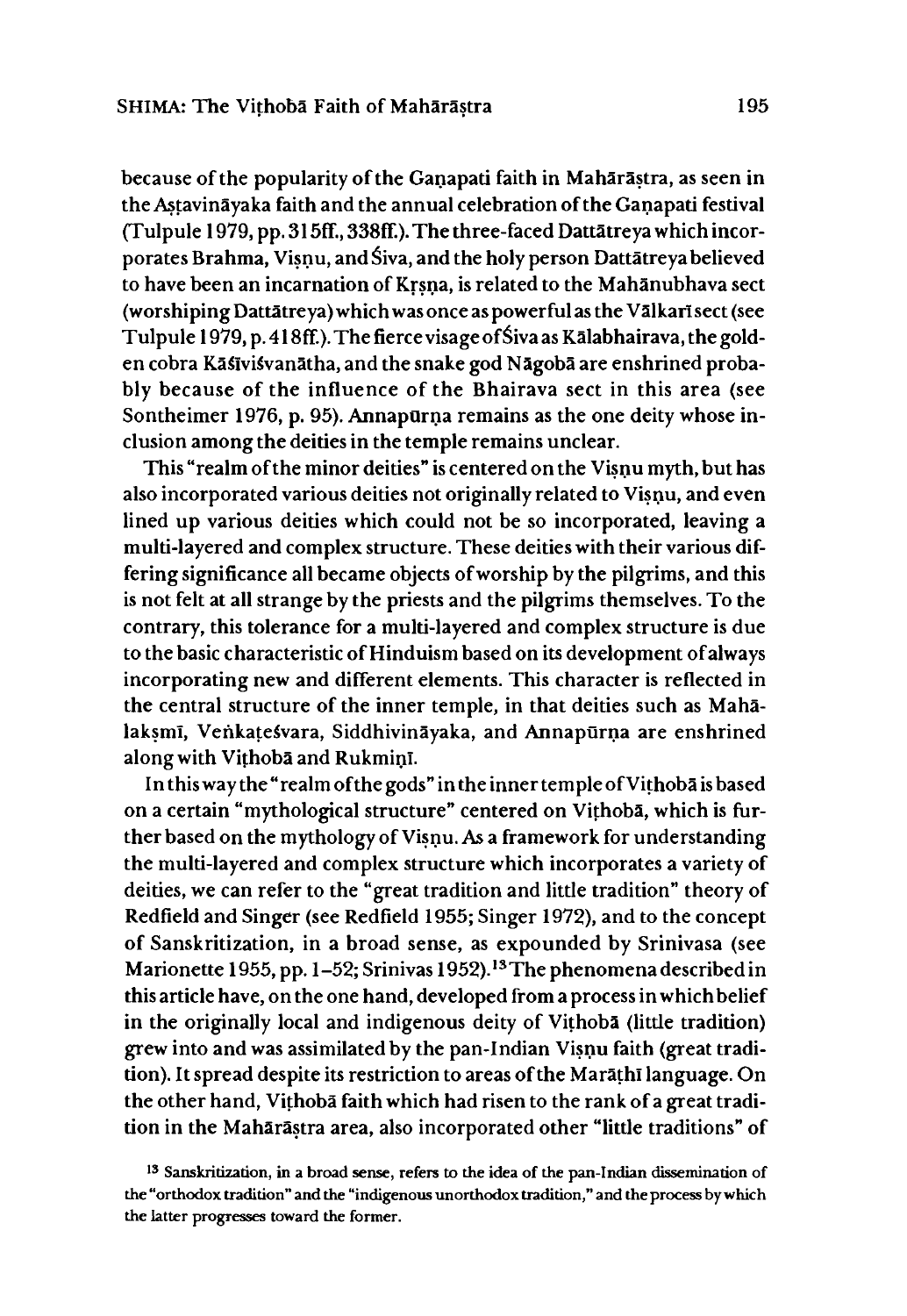because of the popularity of the Ganapati faith in Maharastra, as seen in theAstavinayaka faith and the annual celebration of the Ganapati festival (Tulpule 1979, pp. 315ff., 338ff.). The three-faced Dattātreya which incorporates Brahma, Visnu, and Siva, and the holy person Dattatreya believed to have been an incarnation of Krsna, is related to the Mahanubhava sect (worshiping Dattātreya) which was once as powerful as the Vālkarī sect (see Tulpule 1979, p. 418ff.). The fierce visage of Siva as Kālabhairava, the golden cobra Kaslvisvanatha, and the snake god Nagoba are enshrined probably because of the influence of the Bhairava sect in this area (see Sontheimer 1976, p. 95). Annapūrņa remains as the one deity whose inclusion among the deities in the temple remains unclear.

This "realm of the minor deities" is centered on the Visnu myth, but has also incorporated various deities not originally related to Visnu, and even lined up various deities which could not be so incorporated, leaving a multi-layered and complex structure. These deities with their various differing significance all became objects of worship by the pilgrims, and this is not felt at all strange by the priests and the pilgrims themselves. To the contrary, this tolerance for a multi-layered and complex structure is due to the basic characteristic of Hinduism based on its development of always incorporating new and different elements. This character is reflected in the central structure of the inner temple, in that deities such as Mahalaksmī, Venkatesvara, Siddhivināyaka, and Annapūrņa are enshrined along with Vithoba and Rukmini.

In this way the "realm of the gods" in the inner temple of Vithoba is based on a certain "mythological structure" centered on Vithoba, which is further based on the mythology of Visnu. As a framework for understanding the multi-layered and complex structure which incorporates a variety of deities, we can refer to the "great tradition and little tradition" theory of Redfield and Singer (see Redfield 1955; Singer 1972), and to the concept of Sanskritization, in a broad sense, as expounded by Srinivasa (see Marionette 1955, pp. 1-52; Srinivas 1952).<sup>13</sup> The phenomena described in this article have, on the one hand, developed from a process in which belief in the originally local and indigenous deity of Vithoba (little tradition) grew into and was assimilated by the pan-Indian Visnu faith (great tradition). It spread despite its restriction to areas of the Marathi language. On the other hand, Vithoba faith which had risen to the rank of a great tradition in the Mahārāstra area, also incorporated other "little traditions" of

<sup>13</sup> Sanskritization, in a broad sense, refers to the idea of the pan-Indian dissemination of the "orthodox tradition" and the "indigenous unorthodox tradition," and the process by which the latter progresses toward the former.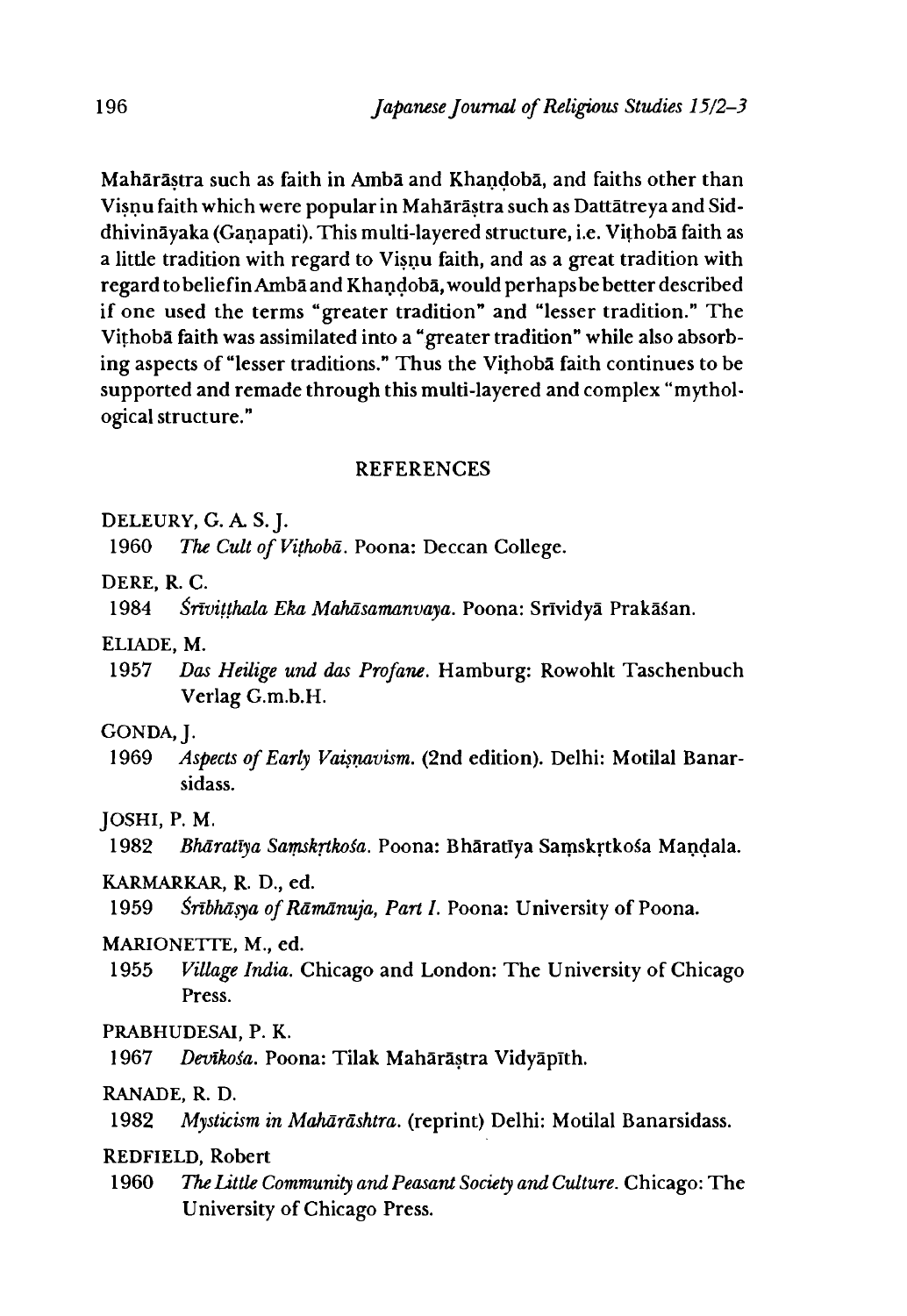Maharastra such as faith in Amba and Khandoba, and faiths other than Visnu faith which were popular in Maharastra such as Dattatreya and Siddhivinayaka (Ganapati). This multi-layered structure, i.e. Vithoba faith as a little tradition with regard to Visnu faith, and as a great tradition with regard to belief in Amba and Khandoba, would perhaps be better described if one used the terms "greater tradition" and "lesser tradition." The Vithoba faith was assimilated into a "greater tradition" while also absorbing aspects of "lesser traditions." Thus the Vithoba faith continues to be supported and remade through this multi-layered and complex "mythological structure."

#### REFERENCES

**DELEURY, G. A. S.J.**

1960 *The Cult of Vithoba.* Poona: Deccan College.

**DERE R. C.**

1984 *Śrīviṭṭhala Eka Mahāsamanvaya.* Poona: Srīvidyā Prakāśan.

ELIADE, M.

1957 *Das Heilige und das Profane.* Hamburg: Rowohlt Taschenbuch Verlag G.m.b.H.

#### **GONDA, J.**

1969 *Aspects of Early Vaisnavism.* (2nd edition). Delhi: Motilal Banarsidass.

#### **JOSHI, P. M.**

1982 *Bharatiya Samskrthoia.* Poona: Bharatiya Samskrtko^a Mandala.

# KARMARKAR, R. D., ed.

1959 *^nbhasya of Ramanuja, Part I.* Poona: University of Poona.

# **MARIONETTE, M., ed.**

1955 *Village India.* Chicago and London: The University of Chicago Press.

#### **PRABHUDESAI, P. K.**

1967 *Devikośa.* Poona: Tilak Mahārāstra Vidyāpīth.

# RANADE, R. D.

1982 *Mysticism in Maharashtra,* (reprint) Delhi: Motilal Banarsidass.

#### REDFIELD, Robert

1960 *The Little Community and Peasant Society and Culture.* Chicago: The University of Chicago Press.